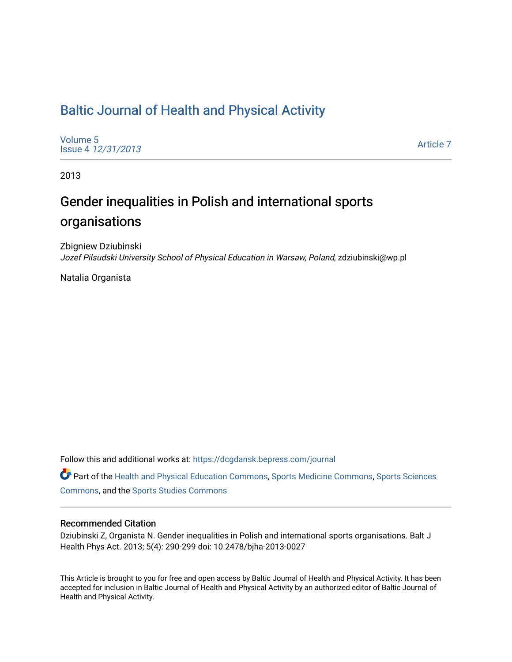# [Baltic Journal of Health and Physical Activity](https://dcgdansk.bepress.com/journal)

[Volume 5](https://dcgdansk.bepress.com/journal/vol5) Issue 4 [12/31/2013](https://dcgdansk.bepress.com/journal/vol5/iss4)

[Article 7](https://dcgdansk.bepress.com/journal/vol5/iss4/7) 

2013

# Gender inequalities in Polish and international sports organisations

Zbigniew Dziubinski Jozef Pilsudski University School of Physical Education in Warsaw, Poland, zdziubinski@wp.pl

Natalia Organista

Follow this and additional works at: [https://dcgdansk.bepress.com/journal](https://dcgdansk.bepress.com/journal?utm_source=dcgdansk.bepress.com%2Fjournal%2Fvol5%2Fiss4%2F7&utm_medium=PDF&utm_campaign=PDFCoverPages)

Part of the [Health and Physical Education Commons](http://network.bepress.com/hgg/discipline/1327?utm_source=dcgdansk.bepress.com%2Fjournal%2Fvol5%2Fiss4%2F7&utm_medium=PDF&utm_campaign=PDFCoverPages), [Sports Medicine Commons,](http://network.bepress.com/hgg/discipline/1331?utm_source=dcgdansk.bepress.com%2Fjournal%2Fvol5%2Fiss4%2F7&utm_medium=PDF&utm_campaign=PDFCoverPages) [Sports Sciences](http://network.bepress.com/hgg/discipline/759?utm_source=dcgdansk.bepress.com%2Fjournal%2Fvol5%2Fiss4%2F7&utm_medium=PDF&utm_campaign=PDFCoverPages) [Commons](http://network.bepress.com/hgg/discipline/759?utm_source=dcgdansk.bepress.com%2Fjournal%2Fvol5%2Fiss4%2F7&utm_medium=PDF&utm_campaign=PDFCoverPages), and the [Sports Studies Commons](http://network.bepress.com/hgg/discipline/1198?utm_source=dcgdansk.bepress.com%2Fjournal%2Fvol5%2Fiss4%2F7&utm_medium=PDF&utm_campaign=PDFCoverPages) 

#### Recommended Citation

Dziubinski Z, Organista N. Gender inequalities in Polish and international sports organisations. Balt J Health Phys Act. 2013; 5(4): 290-299 doi: 10.2478/bjha-2013-0027

This Article is brought to you for free and open access by Baltic Journal of Health and Physical Activity. It has been accepted for inclusion in Baltic Journal of Health and Physical Activity by an authorized editor of Baltic Journal of Health and Physical Activity.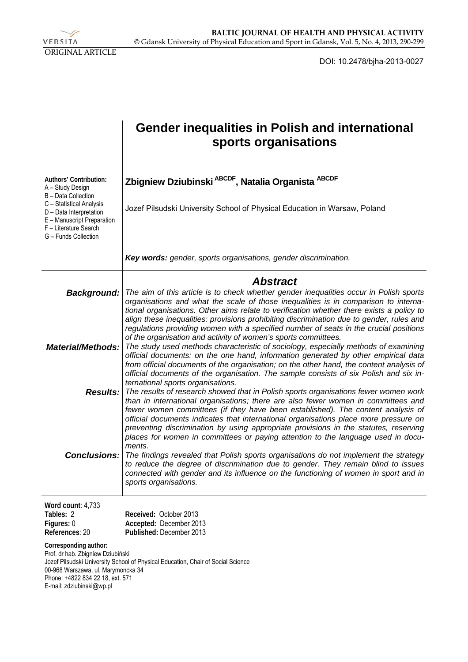

DOI: 10.2478/bjha-2013-0027

|                                                                                                                                                                   | <b>Gender inequalities in Polish and international</b><br>sports organisations                                                                                                                                                                                                                                                                                                                                                                                                                                                                            |  |  |  |  |
|-------------------------------------------------------------------------------------------------------------------------------------------------------------------|-----------------------------------------------------------------------------------------------------------------------------------------------------------------------------------------------------------------------------------------------------------------------------------------------------------------------------------------------------------------------------------------------------------------------------------------------------------------------------------------------------------------------------------------------------------|--|--|--|--|
| Authors' Contribution:<br>A - Study Design<br>B - Data Collection                                                                                                 | Zbigniew Dziubinski ABCDF, Natalia Organista ABCDF                                                                                                                                                                                                                                                                                                                                                                                                                                                                                                        |  |  |  |  |
| C - Statistical Analysis<br>D - Data Interpretation<br>E - Manuscript Preparation<br>F - Literature Search<br>G - Funds Collection                                | Jozef Pilsudski University School of Physical Education in Warsaw, Poland                                                                                                                                                                                                                                                                                                                                                                                                                                                                                 |  |  |  |  |
|                                                                                                                                                                   | Key words: gender, sports organisations, gender discrimination.                                                                                                                                                                                                                                                                                                                                                                                                                                                                                           |  |  |  |  |
|                                                                                                                                                                   | <b>Abstract</b>                                                                                                                                                                                                                                                                                                                                                                                                                                                                                                                                           |  |  |  |  |
| <b>Background:</b>                                                                                                                                                | The aim of this article is to check whether gender inequalities occur in Polish sports<br>organisations and what the scale of those inequalities is in comparison to interna-<br>tional organisations. Other aims relate to verification whether there exists a policy to<br>align these inequalities: provisions prohibiting discrimination due to gender, rules and<br>regulations providing women with a specified number of seats in the crucial positions<br>of the organisation and activity of women's sports committees.                          |  |  |  |  |
| <b>Material/Methods:</b>                                                                                                                                          | The study used methods characteristic of sociology, especially methods of examining<br>official documents: on the one hand, information generated by other empirical data<br>from official documents of the organisation; on the other hand, the content analysis of<br>official documents of the organisation. The sample consists of six Polish and six in-<br>ternational sports organisations.                                                                                                                                                        |  |  |  |  |
|                                                                                                                                                                   | <b>Results:</b> The results of research showed that in Polish sports organisations fewer women work<br>than in international organisations; there are also fewer women in committees and<br>fewer women committees (if they have been established). The content analysis of<br>official documents indicates that international organisations place more pressure on<br>preventing discrimination by using appropriate provisions in the statutes, reserving<br>places for women in committees or paying attention to the language used in docu-<br>ments. |  |  |  |  |
| <b>Conclusions:</b>                                                                                                                                               | The findings revealed that Polish sports organisations do not implement the strategy<br>to reduce the degree of discrimination due to gender. They remain blind to issues<br>connected with gender and its influence on the functioning of women in sport and in<br>sports organisations.                                                                                                                                                                                                                                                                 |  |  |  |  |
| Word count: 4,733<br>Tables: 2<br>Figures: 0<br>References: 20                                                                                                    | Received: October 2013<br>Accepted: December 2013<br>Published: December 2013                                                                                                                                                                                                                                                                                                                                                                                                                                                                             |  |  |  |  |
| Corresponding author:<br>Prof. dr hab. Zbigniew Dziubiński<br>00-968 Warszawa, ul. Marymoncka 34<br>Phone: +4822 834 22 18, ext. 571<br>E-mail: zdziubinski@wp.pl | Jozef Pilsudski University School of Physical Education, Chair of Social Science                                                                                                                                                                                                                                                                                                                                                                                                                                                                          |  |  |  |  |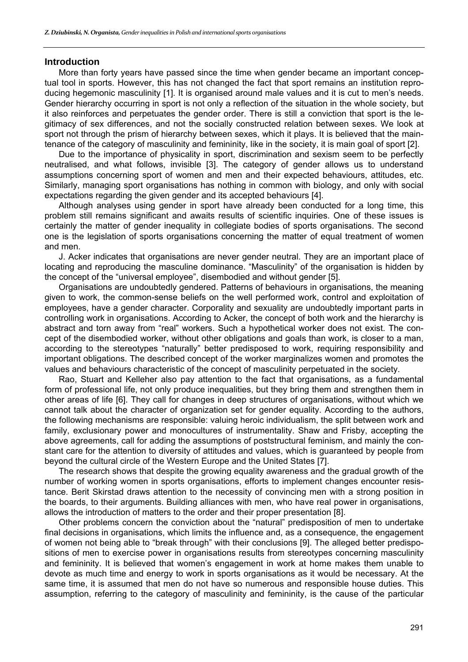#### **Introduction**

More than forty years have passed since the time when gender became an important conceptual tool in sports. However, this has not changed the fact that sport remains an institution reproducing hegemonic masculinity [1]. It is organised around male values and it is cut to men's needs. Gender hierarchy occurring in sport is not only a reflection of the situation in the whole society, but it also reinforces and perpetuates the gender order. There is still a conviction that sport is the legitimacy of sex differences, and not the socially constructed relation between sexes. We look at sport not through the prism of hierarchy between sexes, which it plays. It is believed that the maintenance of the category of masculinity and femininity, like in the society, it is main goal of sport [2].

Due to the importance of physicality in sport, discrimination and sexism seem to be perfectly neutralised, and what follows, invisible [3]. The category of gender allows us to understand assumptions concerning sport of women and men and their expected behaviours, attitudes, etc. Similarly, managing sport organisations has nothing in common with biology, and only with social expectations regarding the given gender and its accepted behaviours [4].

Although analyses using gender in sport have already been conducted for a long time, this problem still remains significant and awaits results of scientific inquiries. One of these issues is certainly the matter of gender inequality in collegiate bodies of sports organisations. The second one is the legislation of sports organisations concerning the matter of equal treatment of women and men.

J. Acker indicates that organisations are never gender neutral. They are an important place of locating and reproducing the masculine dominance. "Masculinity" of the organisation is hidden by the concept of the "universal employee", disembodied and without gender [5].

Organisations are undoubtedly gendered. Patterns of behaviours in organisations, the meaning given to work, the common-sense beliefs on the well performed work, control and exploitation of employees, have a gender character. Corporality and sexuality are undoubtedly important parts in controlling work in organisations. According to Acker, the concept of both work and the hierarchy is abstract and torn away from "real" workers. Such a hypothetical worker does not exist. The concept of the disembodied worker, without other obligations and goals than work, is closer to a man, according to the stereotypes "naturally" better predisposed to work, requiring responsibility and important obligations. The described concept of the worker marginalizes women and promotes the values and behaviours characteristic of the concept of masculinity perpetuated in the society.

Rao, Stuart and Kelleher also pay attention to the fact that organisations, as a fundamental form of professional life, not only produce inequalities, but they bring them and strengthen them in other areas of life [6]. They call for changes in deep structures of organisations, without which we cannot talk about the character of organization set for gender equality. According to the authors, the following mechanisms are responsible: valuing heroic individualism, the split between work and family, exclusionary power and monocultures of instrumentality. Shaw and Frisby, accepting the above agreements, call for adding the assumptions of poststructural feminism, and mainly the constant care for the attention to diversity of attitudes and values, which is guaranteed by people from beyond the cultural circle of the Western Europe and the United States [7].

The research shows that despite the growing equality awareness and the gradual growth of the number of working women in sports organisations, efforts to implement changes encounter resistance. Berit Skirstad draws attention to the necessity of convincing men with a strong position in the boards, to their arguments. Building alliances with men, who have real power in organisations, allows the introduction of matters to the order and their proper presentation [8].

Other problems concern the conviction about the "natural" predisposition of men to undertake final decisions in organisations, which limits the influence and, as a consequence, the engagement of women not being able to "break through" with their conclusions [9]. The alleged better predispositions of men to exercise power in organisations results from stereotypes concerning masculinity and femininity. It is believed that women's engagement in work at home makes them unable to devote as much time and energy to work in sports organisations as it would be necessary. At the same time, it is assumed that men do not have so numerous and responsible house duties. This assumption, referring to the category of masculinity and femininity, is the cause of the particular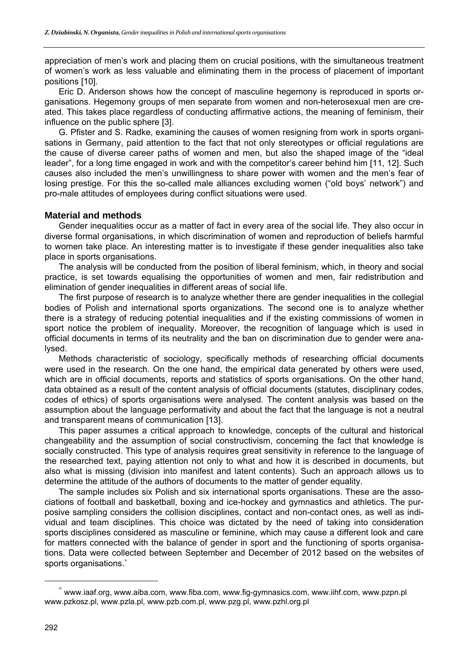appreciation of men's work and placing them on crucial positions, with the simultaneous treatment of women's work as less valuable and eliminating them in the process of placement of important positions [10].

Eric D. Anderson shows how the concept of masculine hegemony is reproduced in sports organisations. Hegemony groups of men separate from women and non-heterosexual men are created. This takes place regardless of conducting affirmative actions, the meaning of feminism, their influence on the public sphere [3].

G. Pfister and S. Radke, examining the causes of women resigning from work in sports organisations in Germany, paid attention to the fact that not only stereotypes or official regulations are the cause of diverse career paths of women and men, but also the shaped image of the "ideal leader", for a long time engaged in work and with the competitor's career behind him [11, 12]. Such causes also included the men's unwillingness to share power with women and the men's fear of losing prestige. For this the so-called male alliances excluding women ("old boys' network") and pro-male attitudes of employees during conflict situations were used.

### **Material and methods**

Gender inequalities occur as a matter of fact in every area of the social life. They also occur in diverse formal organisations, in which discrimination of women and reproduction of beliefs harmful to women take place. An interesting matter is to investigate if these gender inequalities also take place in sports organisations.

The analysis will be conducted from the position of liberal feminism, which, in theory and social practice, is set towards equalising the opportunities of women and men, fair redistribution and elimination of gender inequalities in different areas of social life.

The first purpose of research is to analyze whether there are gender inequalities in the collegial bodies of Polish and international sports organizations. The second one is to analyze whether there is a strategy of reducing potential inequalities and if the existing commissions of women in sport notice the problem of inequality. Moreover, the recognition of language which is used in official documents in terms of its neutrality and the ban on discrimination due to gender were analysed.

Methods characteristic of sociology, specifically methods of researching official documents were used in the research. On the one hand, the empirical data generated by others were used, which are in official documents, reports and statistics of sports organisations. On the other hand, data obtained as a result of the content analysis of official documents (statutes, disciplinary codes, codes of ethics) of sports organisations were analysed. The content analysis was based on the assumption about the language performativity and about the fact that the language is not a neutral and transparent means of communication [13].

This paper assumes a critical approach to knowledge, concepts of the cultural and historical changeability and the assumption of social constructivism, concerning the fact that knowledge is socially constructed. This type of analysis requires great sensitivity in reference to the language of the researched text, paying attention not only to what and how it is described in documents, but also what is missing (division into manifest and latent contents). Such an approach allows us to determine the attitude of the authors of documents to the matter of gender equality.

The sample includes six Polish and six international sports organisations. These are the associations of football and basketball, boxing and ice-hockey and gymnastics and athletics. The purposive sampling considers the collision disciplines, contact and non-contact ones, as well as individual and team disciplines. This choice was dictated by the need of taking into consideration sports disciplines considered as masculine or feminine, which may cause a different look and care for matters connected with the balance of gender in sport and the functioning of sports organisations. Data were collected between September and December of 2012 based on the websites of sports organisations.<sup>\*</sup>

 $\overline{a}$ 

<sup>∗</sup> www.iaaf.org, www.aiba.com, www.fiba.com, www.fig-gymnasics.com, www.iihf.com, www.pzpn.pl www.pzkosz.pl, www.pzla.pl, www.pzb.com.pl, www.pzg.pl, www.pzhl.org.pl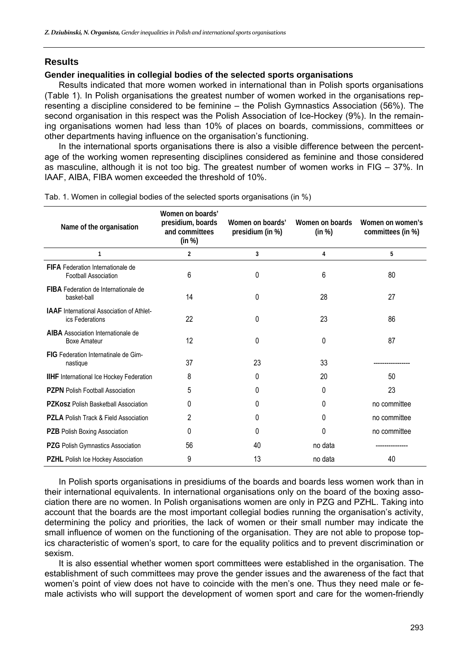## **Results**

#### **Gender inequalities in collegial bodies of the selected sports organisations**

Results indicated that more women worked in international than in Polish sports organisations (Table 1). In Polish organisations the greatest number of women worked in the organisations representing a discipline considered to be feminine – the Polish Gymnastics Association (56%). The second organisation in this respect was the Polish Association of Ice-Hockey (9%). In the remaining organisations women had less than 10% of places on boards, commissions, committees or other departments having influence on the organisation's functioning.

In the international sports organisations there is also a visible difference between the percentage of the working women representing disciplines considered as feminine and those considered as masculine, although it is not too big. The greatest number of women works in FIG – 37%. In IAAF, AIBA, FIBA women exceeded the threshold of 10%.

| Name of the organisation                                            | Women on boards'<br>presidium, boards<br>and committees<br>(in %) | Women on boards'<br>presidium (in %) | Women on boards<br>(in %) | Women on women's<br>committees (in %) |
|---------------------------------------------------------------------|-------------------------------------------------------------------|--------------------------------------|---------------------------|---------------------------------------|
| 1                                                                   | $\overline{2}$                                                    | 3                                    | 4                         | 5                                     |
| FIFA Federation Internationale de<br>Football Association           | 6                                                                 | 0                                    | 6                         | 80                                    |
| FIBA Federation de Internationale de<br>basket-ball                 | 14                                                                | 0                                    | 28                        | 27                                    |
| <b>IAAF</b> International Association of Athlet-<br>ics Federations | 22                                                                | 0                                    | 23                        | 86                                    |
| AIBA Association Internationale de<br><b>Boxe Amateur</b>           | 12                                                                | 0                                    | 0                         | 87                                    |
| FIG Federation Internatinale de Gim-<br>nastique                    | 37                                                                | 23                                   | 33                        |                                       |
| <b>IIHF</b> International Ice Hockey Federation                     | 8                                                                 | 0                                    | 20                        | 50                                    |
| <b>PZPN</b> Polish Football Association                             | 5                                                                 | 0                                    | 0                         | 23                                    |
| PZKosz Polish Basketball Association                                | 0                                                                 | 0                                    | 0                         | no committee                          |
| <b>PZLA Polish Track &amp; Field Association</b>                    | 2                                                                 | 0                                    | 0                         | no committee                          |
| PZB Polish Boxing Association                                       | 0                                                                 | 0                                    | 0                         | no committee                          |
| PZG Polish Gymnastics Association                                   | 56                                                                | 40                                   | no data                   |                                       |
| <b>PZHL</b> Polish Ice Hockey Association                           | 9                                                                 | 13                                   | no data                   | 40                                    |

Tab. 1. Women in collegial bodies of the selected sports organisations (in %)

In Polish sports organisations in presidiums of the boards and boards less women work than in their international equivalents. In international organisations only on the board of the boxing association there are no women. In Polish organisations women are only in PZG and PZHL. Taking into account that the boards are the most important collegial bodies running the organisation's activity, determining the policy and priorities, the lack of women or their small number may indicate the small influence of women on the functioning of the organisation. They are not able to propose topics characteristic of women's sport, to care for the equality politics and to prevent discrimination or sexism.

It is also essential whether women sport committees were established in the organisation. The establishment of such committees may prove the gender issues and the awareness of the fact that women's point of view does not have to coincide with the men's one. Thus they need male or female activists who will support the development of women sport and care for the women-friendly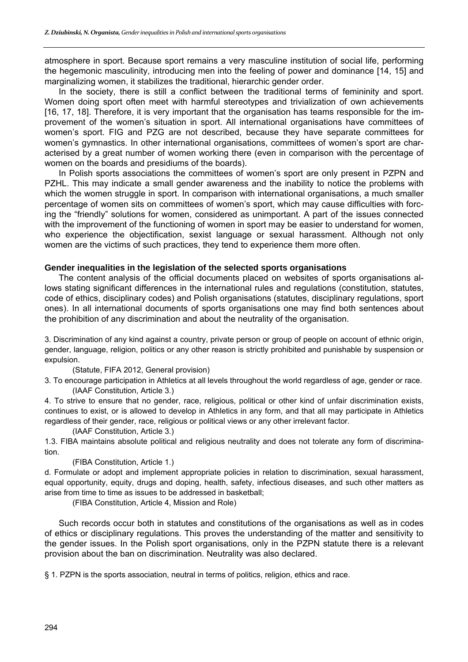atmosphere in sport. Because sport remains a very masculine institution of social life, performing the hegemonic masculinity, introducing men into the feeling of power and dominance [14, 15] and marginalizing women, it stabilizes the traditional, hierarchic gender order.

In the society, there is still a conflict between the traditional terms of femininity and sport. Women doing sport often meet with harmful stereotypes and trivialization of own achievements [16, 17, 18]. Therefore, it is very important that the organisation has teams responsible for the improvement of the women's situation in sport. All international organisations have committees of women's sport. FIG and PZG are not described, because they have separate committees for women's gymnastics. In other international organisations, committees of women's sport are characterised by a great number of women working there (even in comparison with the percentage of women on the boards and presidiums of the boards).

In Polish sports associations the committees of women's sport are only present in PZPN and PZHL. This may indicate a small gender awareness and the inability to notice the problems with which the women struggle in sport. In comparison with international organisations, a much smaller percentage of women sits on committees of women's sport, which may cause difficulties with forcing the "friendly" solutions for women, considered as unimportant. A part of the issues connected with the improvement of the functioning of women in sport may be easier to understand for women, who experience the objectification, sexist language or sexual harassment. Although not only women are the victims of such practices, they tend to experience them more often.

#### **Gender inequalities in the legislation of the selected sports organisations**

The content analysis of the official documents placed on websites of sports organisations allows stating significant differences in the international rules and regulations (constitution, statutes, code of ethics, disciplinary codes) and Polish organisations (statutes, disciplinary regulations, sport ones). In all international documents of sports organisations one may find both sentences about the prohibition of any discrimination and about the neutrality of the organisation.

3. Discrimination of any kind against a country, private person or group of people on account of ethnic origin, gender, language, religion, politics or any other reason is strictly prohibited and punishable by suspension or expulsion.

#### (Statute, FIFA 2012, General provision)

3. To encourage participation in Athletics at all levels throughout the world regardless of age, gender or race. (IAAF Constitution, Article 3.)

4. To strive to ensure that no gender, race, religious, political or other kind of unfair discrimination exists, continues to exist, or is allowed to develop in Athletics in any form, and that all may participate in Athletics regardless of their gender, race, religious or political views or any other irrelevant factor.

#### (IAAF Constitution, Article 3.)

1.3. FIBA maintains absolute political and religious neutrality and does not tolerate any form of discrimination.

#### (FIBA Constitution, Article 1.)

d. Formulate or adopt and implement appropriate policies in relation to discrimination, sexual harassment, equal opportunity, equity, drugs and doping, health, safety, infectious diseases, and such other matters as arise from time to time as issues to be addressed in basketball;

(FIBA Constitution, Article 4, Mission and Role)

Such records occur both in statutes and constitutions of the organisations as well as in codes of ethics or disciplinary regulations. This proves the understanding of the matter and sensitivity to the gender issues. In the Polish sport organisations, only in the PZPN statute there is a relevant provision about the ban on discrimination. Neutrality was also declared.

§ 1. PZPN is the sports association, neutral in terms of politics, religion, ethics and race.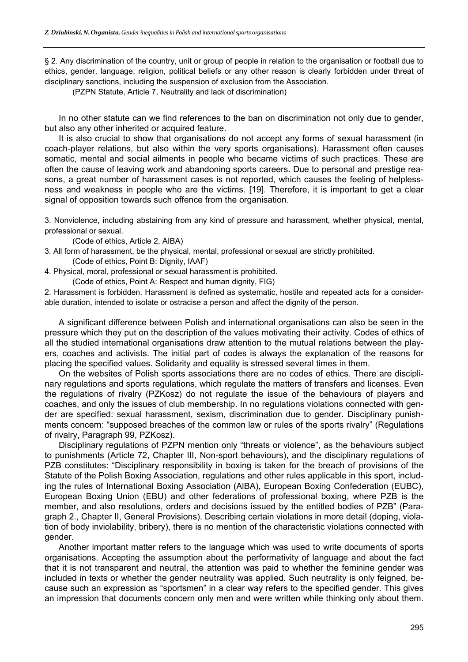§ 2. Any discrimination of the country, unit or group of people in relation to the organisation or football due to ethics, gender, language, religion, political beliefs or any other reason is clearly forbidden under threat of disciplinary sanctions, including the suspension of exclusion from the Association.

(PZPN Statute, Article 7, Neutrality and lack of discrimination)

In no other statute can we find references to the ban on discrimination not only due to gender, but also any other inherited or acquired feature.

It is also crucial to show that organisations do not accept any forms of sexual harassment (in coach-player relations, but also within the very sports organisations). Harassment often causes somatic, mental and social ailments in people who became victims of such practices. These are often the cause of leaving work and abandoning sports careers. Due to personal and prestige reasons, a great number of harassment cases is not reported, which causes the feeling of helplessness and weakness in people who are the victims. [19]. Therefore, it is important to get a clear signal of opposition towards such offence from the organisation.

3. Nonviolence, including abstaining from any kind of pressure and harassment, whether physical, mental, professional or sexual.

(Code of ethics, Article 2, AIBA)

- 3. All form of harassment, be the physical, mental, professional or sexual are strictly prohibited. (Code of ethics, Point B: Dignity, IAAF)
- 4. Physical, moral, professional or sexual harassment is prohibited.

(Code of ethics, Point A: Respect and human dignity, FIG)

2. Harassment is forbidden. Harassment is defined as systematic, hostile and repeated acts for a considerable duration, intended to isolate or ostracise a person and affect the dignity of the person.

A significant difference between Polish and international organisations can also be seen in the pressure which they put on the description of the values motivating their activity. Codes of ethics of all the studied international organisations draw attention to the mutual relations between the players, coaches and activists. The initial part of codes is always the explanation of the reasons for placing the specified values. Solidarity and equality is stressed several times in them.

On the websites of Polish sports associations there are no codes of ethics. There are disciplinary regulations and sports regulations, which regulate the matters of transfers and licenses. Even the regulations of rivalry (PZKosz) do not regulate the issue of the behaviours of players and coaches, and only the issues of club membership. In no regulations violations connected with gender are specified: sexual harassment, sexism, discrimination due to gender. Disciplinary punishments concern: "supposed breaches of the common law or rules of the sports rivalry" (Regulations of rivalry, Paragraph 99, PZKosz).

Disciplinary regulations of PZPN mention only "threats or violence", as the behaviours subject to punishments (Article 72, Chapter III, Non-sport behaviours), and the disciplinary regulations of PZB constitutes: "Disciplinary responsibility in boxing is taken for the breach of provisions of the Statute of the Polish Boxing Association, regulations and other rules applicable in this sport, including the rules of International Boxing Association (AlBA), European Boxing Confederation (EUBC), European Boxing Union (EBU) and other federations of professional boxing, where PZB is the member, and also resolutions, orders and decisions issued by the entitled bodies of PZB" (Paragraph 2., Chapter II, General Provisions). Describing certain violations in more detail (doping, violation of body inviolability, bribery), there is no mention of the characteristic violations connected with gender.

Another important matter refers to the language which was used to write documents of sports organisations. Accepting the assumption about the performativity of language and about the fact that it is not transparent and neutral, the attention was paid to whether the feminine gender was included in texts or whether the gender neutrality was applied. Such neutrality is only feigned, because such an expression as "sportsmen" in a clear way refers to the specified gender. This gives an impression that documents concern only men and were written while thinking only about them.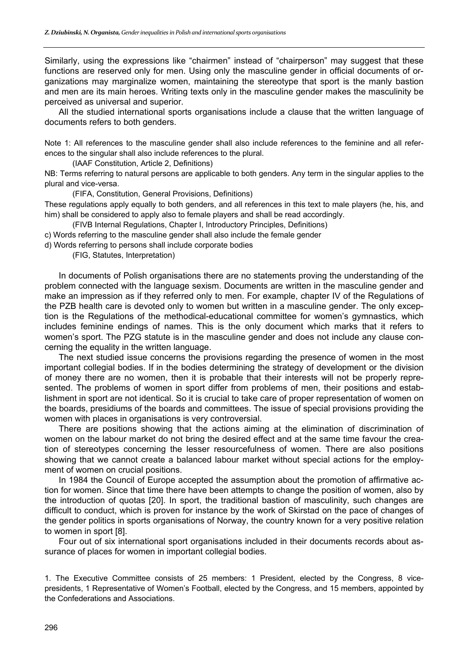Similarly, using the expressions like "chairmen" instead of "chairperson" may suggest that these functions are reserved only for men. Using only the masculine gender in official documents of organizations may marginalize women, maintaining the stereotype that sport is the manly bastion and men are its main heroes. Writing texts only in the masculine gender makes the masculinity be perceived as universal and superior.

All the studied international sports organisations include a clause that the written language of documents refers to both genders.

Note 1: All references to the masculine gender shall also include references to the feminine and all references to the singular shall also include references to the plural.

(IAAF Constitution, Article 2, Definitions)

NB: Terms referring to natural persons are applicable to both genders. Any term in the singular applies to the plural and vice-versa.

(FIFA, Constitution, General Provisions, Definitions)

These regulations apply equally to both genders, and all references in this text to male players (he, his, and him) shall be considered to apply also to female players and shall be read accordingly.

(FIVB Internal Regulations, Chapter I, Introductory Principles, Definitions)

c) Words referring to the masculine gender shall also include the female gender

d) Words referring to persons shall include corporate bodies

(FIG, Statutes, Interpretation)

In documents of Polish organisations there are no statements proving the understanding of the problem connected with the language sexism. Documents are written in the masculine gender and make an impression as if they referred only to men. For example, chapter IV of the Regulations of the PZB health care is devoted only to women but written in a masculine gender. The only exception is the Regulations of the methodical-educational committee for women's gymnastics, which includes feminine endings of names. This is the only document which marks that it refers to women's sport. The PZG statute is in the masculine gender and does not include any clause concerning the equality in the written language.

The next studied issue concerns the provisions regarding the presence of women in the most important collegial bodies. If in the bodies determining the strategy of development or the division of money there are no women, then it is probable that their interests will not be properly represented. The problems of women in sport differ from problems of men, their positions and establishment in sport are not identical. So it is crucial to take care of proper representation of women on the boards, presidiums of the boards and committees. The issue of special provisions providing the women with places in organisations is very controversial.

There are positions showing that the actions aiming at the elimination of discrimination of women on the labour market do not bring the desired effect and at the same time favour the creation of stereotypes concerning the lesser resourcefulness of women. There are also positions showing that we cannot create a balanced labour market without special actions for the employment of women on crucial positions.

In 1984 the Council of Europe accepted the assumption about the promotion of affirmative action for women. Since that time there have been attempts to change the position of women, also by the introduction of quotas [20]. In sport, the traditional bastion of masculinity, such changes are difficult to conduct, which is proven for instance by the work of Skirstad on the pace of changes of the gender politics in sports organisations of Norway, the country known for a very positive relation to women in sport [8].

Four out of six international sport organisations included in their documents records about assurance of places for women in important collegial bodies.

1. The Executive Committee consists of 25 members: 1 President, elected by the Congress, 8 vicepresidents, 1 Representative of Women's Football, elected by the Congress, and 15 members, appointed by the Confederations and Associations.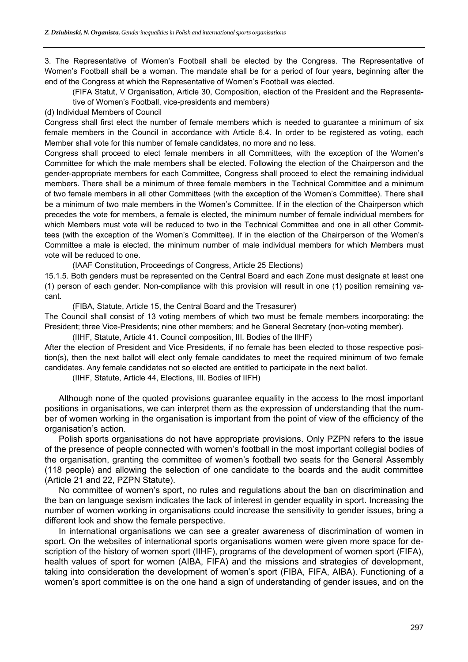3. The Representative of Women's Football shall be elected by the Congress. The Representative of Women's Football shall be a woman. The mandate shall be for a period of four years, beginning after the end of the Congress at which the Representative of Women's Football was elected.

 (FIFA Statut, V Organisation, Article 30, Composition, election of the President and the Representative of Women's Football, vice-presidents and members)

(d) Individual Members of Council

Congress shall first elect the number of female members which is needed to guarantee a minimum of six female members in the Council in accordance with Article 6.4. In order to be registered as voting, each Member shall vote for this number of female candidates, no more and no less.

Congress shall proceed to elect female members in all Committees, with the exception of the Women's Committee for which the male members shall be elected. Following the election of the Chairperson and the gender-appropriate members for each Committee, Congress shall proceed to elect the remaining individual members. There shall be a minimum of three female members in the Technical Committee and a minimum of two female members in all other Committees (with the exception of the Women's Committee). There shall be a minimum of two male members in the Women's Committee. If in the election of the Chairperson which precedes the vote for members, a female is elected, the minimum number of female individual members for which Members must vote will be reduced to two in the Technical Committee and one in all other Committees (with the exception of the Women's Committee). If in the election of the Chairperson of the Women's Committee a male is elected, the minimum number of male individual members for which Members must vote will be reduced to one.

(IAAF Constitution, Proceedings of Congress, Article 25 Elections)

15.1.5. Both genders must be represented on the Central Board and each Zone must designate at least one (1) person of each gender. Non-compliance with this provision will result in one (1) position remaining vacant.

(FIBA, Statute, Article 15, the Central Board and the Tresasurer)

The Council shall consist of 13 voting members of which two must be female members incorporating: the President; three Vice-Presidents; nine other members; and he General Secretary (non-voting member).

(IIHF, Statute, Article 41. Council composition, III. Bodies of the IIHF)

After the election of President and Vice Presidents, if no female has been elected to those respective position(s), then the next ballot will elect only female candidates to meet the required minimum of two female candidates. Any female candidates not so elected are entitled to participate in the next ballot.

(IIHF, Statute, Article 44, Elections, III. Bodies of IIFH)

Although none of the quoted provisions guarantee equality in the access to the most important positions in organisations, we can interpret them as the expression of understanding that the number of women working in the organisation is important from the point of view of the efficiency of the organisation's action.

Polish sports organisations do not have appropriate provisions. Only PZPN refers to the issue of the presence of people connected with women's football in the most important collegial bodies of the organisation, granting the committee of women's football two seats for the General Assembly (118 people) and allowing the selection of one candidate to the boards and the audit committee (Article 21 and 22, PZPN Statute).

No committee of women's sport, no rules and regulations about the ban on discrimination and the ban on language sexism indicates the lack of interest in gender equality in sport. Increasing the number of women working in organisations could increase the sensitivity to gender issues, bring a different look and show the female perspective.

In international organisations we can see a greater awareness of discrimination of women in sport. On the websites of international sports organisations women were given more space for description of the history of women sport (IIHF), programs of the development of women sport (FIFA), health values of sport for women (AIBA, FIFA) and the missions and strategies of development, taking into consideration the development of women's sport (FIBA, FIFA, AIBA). Functioning of a women's sport committee is on the one hand a sign of understanding of gender issues, and on the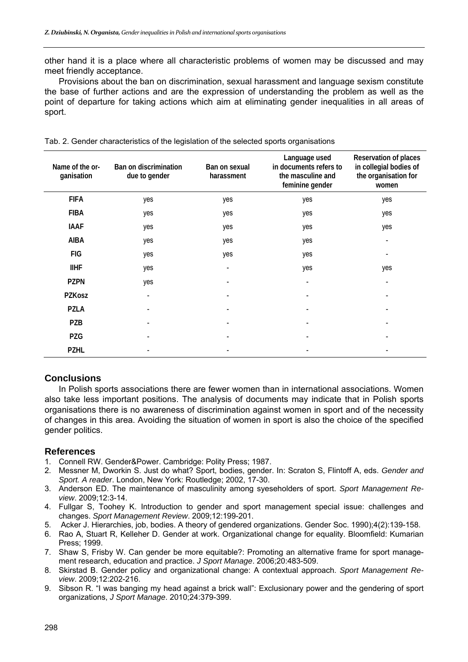other hand it is a place where all characteristic problems of women may be discussed and may meet friendly acceptance.

Provisions about the ban on discrimination, sexual harassment and language sexism constitute the base of further actions and are the expression of understanding the problem as well as the point of departure for taking actions which aim at eliminating gender inequalities in all areas of sport.

| Name of the or-<br>ganisation | Ban on discrimination<br>due to gender | Ban on sexual<br>harassment | Language used<br>in documents refers to<br>the masculine and<br>feminine gender | Reservation of places<br>in collegial bodies of<br>the organisation for<br>women |
|-------------------------------|----------------------------------------|-----------------------------|---------------------------------------------------------------------------------|----------------------------------------------------------------------------------|
| <b>FIFA</b>                   | yes                                    | yes                         | yes                                                                             | yes                                                                              |
| <b>FIBA</b>                   | yes                                    | yes                         | yes                                                                             | yes                                                                              |
| <b>IAAF</b>                   | yes                                    | yes                         | yes                                                                             | yes                                                                              |
| <b>AIBA</b>                   | yes                                    | yes                         | yes                                                                             | -                                                                                |
| <b>FIG</b>                    | yes                                    | yes                         | yes                                                                             |                                                                                  |
| <b>IIHF</b>                   | yes                                    |                             | yes                                                                             | yes                                                                              |
| <b>PZPN</b>                   | yes                                    |                             |                                                                                 |                                                                                  |
| PZKosz                        |                                        |                             |                                                                                 |                                                                                  |
| <b>PZLA</b>                   |                                        |                             |                                                                                 |                                                                                  |
| PZB                           |                                        |                             |                                                                                 |                                                                                  |
| <b>PZG</b>                    |                                        |                             |                                                                                 |                                                                                  |
| <b>PZHL</b>                   |                                        |                             |                                                                                 |                                                                                  |

|  | Tab. 2. Gender characteristics of the legislation of the selected sports organisations |  |  |  |
|--|----------------------------------------------------------------------------------------|--|--|--|
|  |                                                                                        |  |  |  |

# **Conclusions**

In Polish sports associations there are fewer women than in international associations. Women also take less important positions. The analysis of documents may indicate that in Polish sports organisations there is no awareness of discrimination against women in sport and of the necessity of changes in this area. Avoiding the situation of women in sport is also the choice of the specified gender politics.

# **References**

- 1. Connell RW. Gender&Power. Cambridge: Polity Press; 1987.
- 2. Messner M, Dworkin S. Just do what? Sport, bodies, gender. In: Scraton S, Flintoff A, eds. *Gender and Sport. A reader*. London, New York: Routledge; 2002, 17-30.
- 3. Anderson ED. The maintenance of masculinity among syeseholders of sport. *Sport Management Review*. 2009;12:3-14.
- 4. Fullgar S, Toohey K. Introduction to gender and sport management special issue: challenges and changes. *Sport Management Review*. 2009;12:199-201.
- 5. Acker J. Hierarchies, job, bodies. A theory of gendered organizations. Gender Soc. 1990);4(2):139-158.
- 6. Rao A, Stuart R, Kelleher D. Gender at work. Organizational change for equality. Bloomfield: Kumarian Press; 1999.
- 7. Shaw S, Frisby W. Can gender be more equitable?: Promoting an alternative frame for sport management research, education and practice. *J Sport Manage*. 2006;20:483-509.
- 8. Skirstad B. Gender policy and organizational change: A contextual approach. *Sport Management Review*. 2009;12:202-216.
- 9. Sibson R. "I was banging my head against a brick wall": Exclusionary power and the gendering of sport organizations, *J Sport Manage*. 2010;24:379-399.